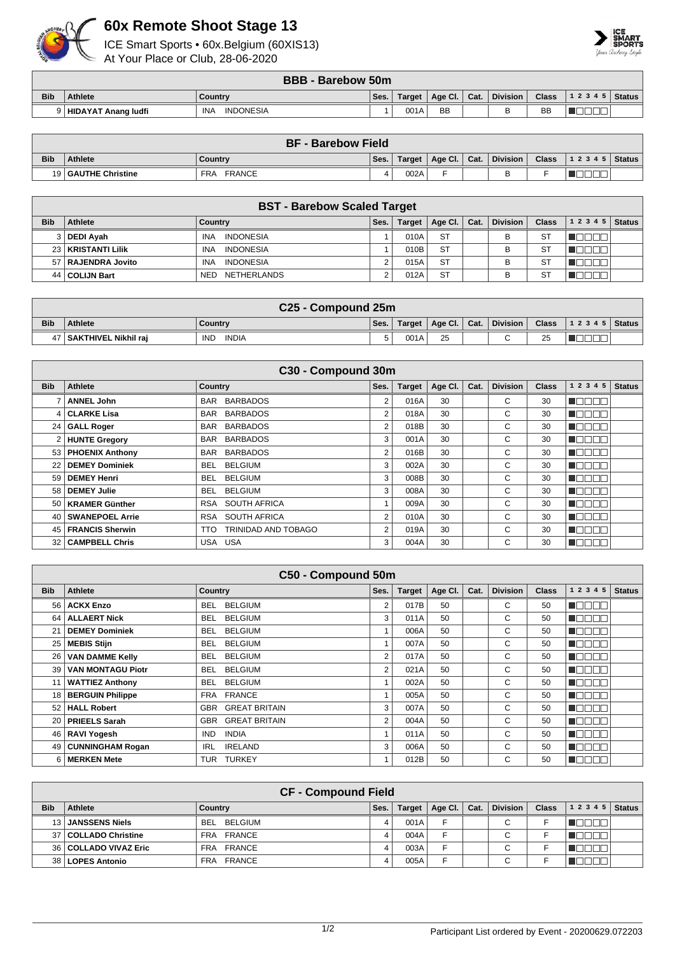

## **60x Remote Shoot Stage 13**

ICE Smart Sports • 60x.Belgium (60XIS13) At Your Place or Club, 28-06-2020



|            | <b>BBB - Barebow 50m</b> |                                |      |        |                      |  |                 |              |                    |  |  |  |
|------------|--------------------------|--------------------------------|------|--------|----------------------|--|-----------------|--------------|--------------------|--|--|--|
| <b>Bib</b> | <b>Athlete</b>           | Country                        | Ses. | Target | Age Cl. $\vert$ Cat. |  | <b>Division</b> | <b>Class</b> | 1 2 3 4 5   Status |  |  |  |
|            | 9 HIDAYAT Anang ludfi    | <b>INA</b><br><b>INDONESIA</b> |      | 001A   | BB                   |  |                 | <b>BB</b>    |                    |  |  |  |

|            | <b>BF - Barebow Field</b> |                             |      |        |                |  |                 |              |                |  |  |  |
|------------|---------------------------|-----------------------------|------|--------|----------------|--|-----------------|--------------|----------------|--|--|--|
| <b>Bib</b> | <b>Athlete</b>            | Country                     | Ses. | Target | Age Cl.   Cat. |  | <b>Division</b> | <b>Class</b> | $12345$ Status |  |  |  |
|            | 19 GAUTHE Christine       | <b>FRANCE</b><br><b>FRA</b> |      | 002A   |                |  |                 |              |                |  |  |  |

|            | <b>BST - Barebow Scaled Target</b> |                                  |      |      |                         |  |                 |              |       |               |  |  |
|------------|------------------------------------|----------------------------------|------|------|-------------------------|--|-----------------|--------------|-------|---------------|--|--|
| <b>Bib</b> | <b>Athlete</b>                     | Country                          | Ses. |      | Target   Age Cl.   Cat. |  | <b>Division</b> | <b>Class</b> | 12345 | <b>Status</b> |  |  |
|            | 3 DEDI Avah                        | <b>INDONESIA</b><br><b>INA</b>   |      | 010A | <b>ST</b>               |  | в               | S1           |       |               |  |  |
|            | 23   KRISTANTI Lilik               | <b>INDONESIA</b><br><b>INA</b>   |      | 010B | <b>ST</b>               |  | B               | S1           |       |               |  |  |
|            | 57 RAJENDRA Jovito                 | <b>INDONESIA</b><br><b>INA</b>   |      | 015A | <b>ST</b>               |  | B               | ST           |       |               |  |  |
|            | 44   COLIJN Bart                   | <b>NETHERLANDS</b><br><b>NED</b> |      | 012A | <b>ST</b>               |  | В               | ST           |       |               |  |  |

|            | C <sub>25</sub> - Compound 25m |                            |      |        |         |      |                 |              |                    |  |  |  |
|------------|--------------------------------|----------------------------|------|--------|---------|------|-----------------|--------------|--------------------|--|--|--|
| <b>Bib</b> | <b>Athlete</b>                 | Country                    | Ses. | Target | Age Cl. | Cat. | <b>Division</b> | <b>Class</b> | 1 2 3 4 5   Status |  |  |  |
|            | SAKTHIVEL Nikhil rai           | <b>IND</b><br><b>INDIA</b> |      | 001A   | 25      |      |                 | 25           |                    |  |  |  |

|                 | C30 - Compound 30m     |                               |                |               |         |      |                 |              |           |               |  |  |
|-----------------|------------------------|-------------------------------|----------------|---------------|---------|------|-----------------|--------------|-----------|---------------|--|--|
| <b>Bib</b>      | Athlete                | <b>Country</b>                | Ses.           | <b>Target</b> | Age Cl. | Cat. | <b>Division</b> | <b>Class</b> | 1 2 3 4 5 | <b>Status</b> |  |  |
|                 | <b>ANNEL John</b>      | <b>BARBADOS</b><br>BAR        | 2              | 016A          | 30      |      | С               | 30           | TOOO      |               |  |  |
|                 | 4   CLARKE Lisa        | <b>BARBADOS</b><br>BAR        | 2              | 018A          | 30      |      | C               | 30           | N E E E E |               |  |  |
|                 | 24 GALL Roger          | <b>BARBADOS</b><br><b>BAR</b> | 2              | 018B          | 30      |      | C               | 30           | N E E E E |               |  |  |
|                 | 2 HUNTE Gregory        | <b>BARBADOS</b><br><b>BAR</b> | 3              | 001A          | 30      |      | C               | 30           | TOOOO     |               |  |  |
|                 | 53   PHOENIX Anthony   | <b>BARBADOS</b><br><b>BAR</b> | $\overline{2}$ | 016B          | 30      |      | C               | 30           |           |               |  |  |
| 22              | <b>DEMEY Dominiek</b>  | <b>BELGIUM</b><br><b>BEL</b>  | 3              | 002A          | 30      |      | C               | 30           | HOOO      |               |  |  |
| 59 <sup>1</sup> | <b>DEMEY Henri</b>     | <b>BELGIUM</b><br><b>BEL</b>  | 3              | 008B          | 30      |      | C               | 30           |           |               |  |  |
| 58              | <b>DEMEY Julie</b>     | <b>BELGIUM</b><br>BEL         | 3              | 008A          | 30      |      | C               | 30           | TN        |               |  |  |
|                 | 50   KRAMER Günther    | SOUTH AFRICA<br>RSA           |                | 009A          | 30      |      | C               | 30           | TOOOT     |               |  |  |
|                 | 40   SWANEPOEL Arrie   | RSA SOUTH AFRICA              | 2              | 010A          | 30      |      | C               | 30           | N E E E   |               |  |  |
| 45 I            | <b>FRANCIS Sherwin</b> | TRINIDAD AND TOBAGO<br>TTO.   | 2              | 019A          | 30      |      | С               | 30           | N E E E E |               |  |  |
|                 | 32   CAMPBELL Chris    | USA USA                       | 3              | 004A          | 30      |      | С               | 30           | N O O C   |               |  |  |

|                 | C50 - Compound 50m       |                              |      |               |         |      |                 |              |                                   |               |  |  |
|-----------------|--------------------------|------------------------------|------|---------------|---------|------|-----------------|--------------|-----------------------------------|---------------|--|--|
| <b>Bib</b>      | Athlete                  | <b>Country</b>               | Ses. | <b>Target</b> | Age Cl. | Cat. | <b>Division</b> | <b>Class</b> | 1 2 3 4<br>5                      | <b>Status</b> |  |  |
| 56 I            | <b>ACKX Enzo</b>         | <b>BELGIUM</b><br><b>BEL</b> | 2    | 017B          | 50      |      | C               | 50           | n Biblio                          |               |  |  |
| 64 I            | <b>ALLAERT Nick</b>      | <b>BELGIUM</b><br>BEL.       | 3    | 011A          | 50      |      | C               | 50           | mг<br>N EI EI                     |               |  |  |
| 21              | <b>DEMEY Dominiek</b>    | <b>BELGIUM</b><br><b>BEL</b> | 1    | 006A          | 50      |      | C               | 50           | ╗<br>H                            |               |  |  |
| 25 <sub>1</sub> | <b>MEBIS Stijn</b>       | <b>BELGIUM</b><br>BEL.       |      | 007A          | 50      |      | C               | 50           | ┒<br>HO.                          |               |  |  |
| 26 <sup>1</sup> | <b>VAN DAMME Kelly</b>   | <b>BELGIUM</b><br>BEL.       | 2    | 017A          | 50      |      | С               | 50           | ┒<br>┐<br>H                       |               |  |  |
| 39 <sup>1</sup> | <b>VAN MONTAGU Piotr</b> | <b>BELGIUM</b><br><b>BEL</b> | 2    | 021A          | 50      |      | C               | 50           | ┓<br>H FIFI                       |               |  |  |
| 11              | <b>WATTIEZ Anthony</b>   | <b>BELGIUM</b><br><b>BEL</b> |      | 002A          | 50      |      | C               | 50           | $\blacksquare\Box$<br>$\Box$<br>┓ |               |  |  |
|                 | 18   BERGUIN Philippe    | FRA FRANCE                   |      | 005A          | 50      |      | C               | 50           | N E E E                           |               |  |  |
|                 | 52 HALL Robert           | <b>GBR GREAT BRITAIN</b>     | 3    | 007A          | 50      |      | C               | 50           | TEEL<br>Пſ                        |               |  |  |
|                 | 20   PRIEELS Sarah       | <b>GREAT BRITAIN</b><br>GBR  | 2    | 004A          | 50      |      | C               | 50           | T<br>┒<br>┑                       |               |  |  |
|                 | 46   RAVI Yogesh         | <b>INDIA</b><br><b>IND</b>   |      | 011A          | 50      |      | C               | 50           | N EI EI                           |               |  |  |
|                 | 49   CUNNINGHAM Rogan    | <b>IRELAND</b><br><b>IRL</b> | 3    | 006A          | 50      |      | C               | 50           | Пſ<br>TET<br>$\Box$               |               |  |  |
|                 | 6   MERKEN Mete          | <b>TURKEY</b><br><b>TUR</b>  | 1    | 012B          | 50      |      | C               | 50           | HOO O C                           |               |  |  |

|            | <b>CF - Compound Field</b> |                              |      |               |         |      |                 |              |           |               |  |  |
|------------|----------------------------|------------------------------|------|---------------|---------|------|-----------------|--------------|-----------|---------------|--|--|
| <b>Bib</b> | Athlete                    | Country                      | Ses. | <b>Target</b> | Age Cl. | Cat. | <b>Division</b> | <b>Class</b> | 1 2 3 4 5 | <b>Status</b> |  |  |
| 13l        | <b>JANSSENS Niels</b>      | <b>BELGIUM</b><br><b>BEL</b> |      | 001A          | E       |      | $\sim$<br>◡     |              |           |               |  |  |
| 37         | COLLADO Christine          | FRA FRANCE                   |      | 004A          | E       |      | $\sim$<br>◡     |              |           |               |  |  |
| 36 l       | COLLADO VIVAZ Eric         | FRA FRANCE                   |      | 003A          | E       |      | $\sim$<br>◡     |              |           |               |  |  |
| 38         | <b>LOPES Antonio</b>       | FRANCE<br>FRA                |      | 005A          | E       |      | $\sim$<br>◡     |              |           |               |  |  |